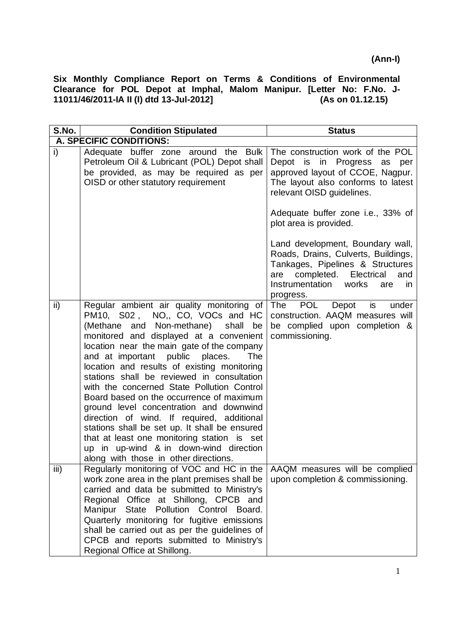| S.No. | <b>Condition Stipulated</b>                                                                                                                                                                                                                                                                                                                                                                                                                                                                                                                                                                                                                                                                                                           | <b>Status</b>                                                                                                                                                                                               |
|-------|---------------------------------------------------------------------------------------------------------------------------------------------------------------------------------------------------------------------------------------------------------------------------------------------------------------------------------------------------------------------------------------------------------------------------------------------------------------------------------------------------------------------------------------------------------------------------------------------------------------------------------------------------------------------------------------------------------------------------------------|-------------------------------------------------------------------------------------------------------------------------------------------------------------------------------------------------------------|
|       | A. SPECIFIC CONDITIONS:                                                                                                                                                                                                                                                                                                                                                                                                                                                                                                                                                                                                                                                                                                               |                                                                                                                                                                                                             |
| i)    | Adequate buffer zone around the Bulk<br>Petroleum Oil & Lubricant (POL) Depot shall<br>be provided, as may be required as per<br>OISD or other statutory requirement                                                                                                                                                                                                                                                                                                                                                                                                                                                                                                                                                                  | The construction work of the POL<br>Depot is in Progress as<br>per<br>approved layout of CCOE, Nagpur.<br>The layout also conforms to latest<br>relevant OISD guidelines.                                   |
|       |                                                                                                                                                                                                                                                                                                                                                                                                                                                                                                                                                                                                                                                                                                                                       | Adequate buffer zone i.e., 33% of<br>plot area is provided.                                                                                                                                                 |
|       |                                                                                                                                                                                                                                                                                                                                                                                                                                                                                                                                                                                                                                                                                                                                       | Land development, Boundary wall,<br>Roads, Drains, Culverts, Buildings,<br>Tankages, Pipelines & Structures<br>completed.<br>Electrical<br>are<br>and<br>Instrumentation<br>works<br>are<br>in<br>progress. |
| ii)   | Regular ambient air quality monitoring of<br>PM10, S02, NO,, CO, VOCs and HC<br>(Methane and Non-methane)<br>shall<br>be<br>monitored and displayed at a convenient<br>location near the main gate of the company<br>and at important public places.<br><b>The</b><br>location and results of existing monitoring<br>stations shall be reviewed in consultation<br>with the concerned State Pollution Control<br>Board based on the occurrence of maximum<br>ground level concentration and downwind<br>direction of wind. If required, additional<br>stations shall be set up. It shall be ensured<br>that at least one monitoring station is set<br>up in up-wind & in down-wind direction<br>along with those in other directions. | Depot<br>The<br>POL<br>is<br>under<br>construction. AAQM measures will<br>be complied upon completion &<br>commissioning.                                                                                   |
| iii)  | Regularly monitoring of VOC and HC in the<br>work zone area in the plant premises shall be<br>carried and data be submitted to Ministry's<br>Regional Office at Shillong, CPCB and<br>Manipur State<br>Pollution Control<br>Board.<br>Quarterly monitoring for fugitive emissions<br>shall be carried out as per the guidelines of<br>CPCB and reports submitted to Ministry's<br>Regional Office at Shillong.                                                                                                                                                                                                                                                                                                                        | AAQM measures will be complied<br>upon completion & commissioning.                                                                                                                                          |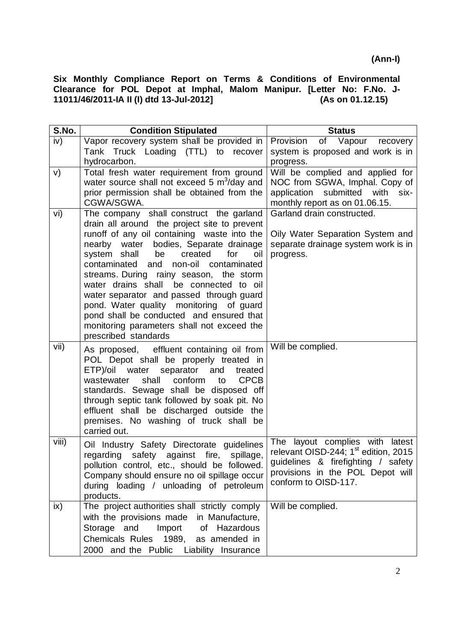| S.No. | <b>Condition Stipulated</b>                                                          | <b>Status</b>                                                                          |
|-------|--------------------------------------------------------------------------------------|----------------------------------------------------------------------------------------|
| iv)   | Vapor recovery system shall be provided in                                           | of Vapour recovery<br>Provision                                                        |
|       | Tank Truck Loading (TTL) to recover                                                  | system is proposed and work is in                                                      |
|       | hydrocarbon.                                                                         | progress.                                                                              |
| V)    | Total fresh water requirement from ground                                            | Will be complied and applied for                                                       |
|       | water source shall not exceed 5 m <sup>3</sup> /day and                              | NOC from SGWA, Imphal. Copy of                                                         |
|       | prior permission shall be obtained from the                                          | application submitted with<br>six-                                                     |
|       | CGWA/SGWA.                                                                           | monthly report as on 01.06.15.                                                         |
| vi)   | The company shall construct the garland                                              | Garland drain constructed.                                                             |
|       | drain all around the project site to prevent                                         |                                                                                        |
|       | runoff of any oil containing waste into the                                          | Oily Water Separation System and                                                       |
|       | nearby water bodies, Separate drainage                                               | separate drainage system work is in                                                    |
|       | system shall<br>created<br>be<br>for<br>oil<br>contaminated and non-oil contaminated | progress.                                                                              |
|       | streams. During rainy season, the storm                                              |                                                                                        |
|       | water drains shall be connected to oil                                               |                                                                                        |
|       | water separator and passed through guard                                             |                                                                                        |
|       | pond. Water quality monitoring of guard                                              |                                                                                        |
|       | pond shall be conducted and ensured that                                             |                                                                                        |
|       | monitoring parameters shall not exceed the                                           |                                                                                        |
|       | prescribed standards                                                                 |                                                                                        |
| vii)  | As proposed, effluent containing oil from                                            | Will be complied.                                                                      |
|       | POL Depot shall be properly treated in                                               |                                                                                        |
|       | ETP)/oil water separator and<br>treated                                              |                                                                                        |
|       | <b>CPCB</b><br>shall<br>conform<br>to<br>wastewater                                  |                                                                                        |
|       | standards. Sewage shall be disposed off                                              |                                                                                        |
|       | through septic tank followed by soak pit. No                                         |                                                                                        |
|       | effluent shall be discharged outside the                                             |                                                                                        |
|       | premises. No washing of truck shall be                                               |                                                                                        |
|       | carried out.                                                                         |                                                                                        |
| viii) | Oil Industry Safety Directorate guidelines                                           | The layout complies with latest                                                        |
|       | regarding safety against fire, spillage,                                             | relevant OISD-244; 1 <sup>st</sup> edition, 2015<br>guidelines & firefighting / safety |
|       | pollution control, etc., should be followed.                                         | provisions in the POL Depot will                                                       |
|       | Company should ensure no oil spillage occur                                          | conform to OISD-117.                                                                   |
|       | during loading / unloading of petroleum                                              |                                                                                        |
|       | products.                                                                            |                                                                                        |
| ix)   | The project authorities shall strictly comply                                        | Will be complied.                                                                      |
|       | with the provisions made in Manufacture,                                             |                                                                                        |
|       | Import of Hazardous<br>Storage and                                                   |                                                                                        |
|       | Chemicals Rules 1989, as amended in                                                  |                                                                                        |
|       | 2000 and the Public Liability Insurance                                              |                                                                                        |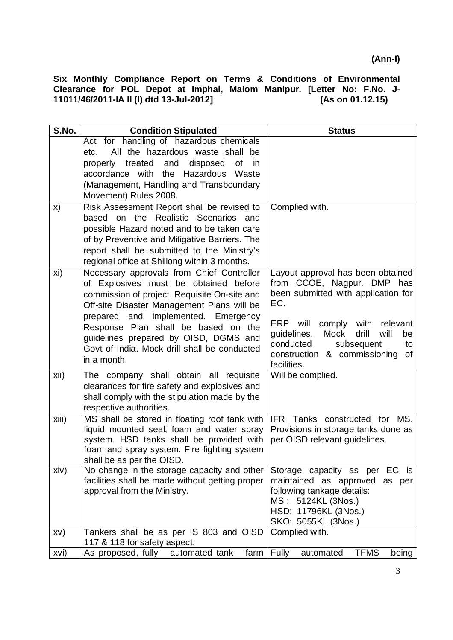| S.No. | <b>Condition Stipulated</b>                                                                                                                                                                                        | <b>Status</b>                                                                                                                                                                            |
|-------|--------------------------------------------------------------------------------------------------------------------------------------------------------------------------------------------------------------------|------------------------------------------------------------------------------------------------------------------------------------------------------------------------------------------|
|       | Act for handling of hazardous chemicals<br>All the hazardous waste shall be                                                                                                                                        |                                                                                                                                                                                          |
|       | etc.<br>properly treated and<br>disposed<br>of<br>in                                                                                                                                                               |                                                                                                                                                                                          |
|       | accordance with the<br>Hazardous<br>Waste                                                                                                                                                                          |                                                                                                                                                                                          |
|       | (Management, Handling and Transboundary                                                                                                                                                                            |                                                                                                                                                                                          |
|       | Movement) Rules 2008.                                                                                                                                                                                              |                                                                                                                                                                                          |
| X)    | Risk Assessment Report shall be revised to                                                                                                                                                                         | Complied with.                                                                                                                                                                           |
|       | based on the<br>Realistic Scenarios<br>and                                                                                                                                                                         |                                                                                                                                                                                          |
|       | possible Hazard noted and to be taken care<br>of by Preventive and Mitigative Barriers. The                                                                                                                        |                                                                                                                                                                                          |
|       | report shall be submitted to the Ministry's                                                                                                                                                                        |                                                                                                                                                                                          |
|       | regional office at Shillong within 3 months.                                                                                                                                                                       |                                                                                                                                                                                          |
| xi)   | Necessary approvals from Chief Controller<br>of Explosives must be obtained before<br>commission of project. Requisite On-site and<br>Off-site Disaster Management Plans will be                                   | Layout approval has been obtained<br>from CCOE, Nagpur. DMP has<br>been submitted with application for<br>EC.                                                                            |
|       | prepared and implemented. Emergency<br>Response Plan shall be based on the<br>guidelines prepared by OISD, DGMS and<br>Govt of India. Mock drill shall be conducted<br>in a month.                                 | <b>ERP</b><br>will<br>comply with<br>relevant<br><b>Mock</b><br>drill<br>will<br>guidelines.<br>be<br>conducted<br>subsequent<br>to<br>construction & commissioning<br>of<br>facilities. |
| xii)  | The company shall obtain all requisite<br>clearances for fire safety and explosives and<br>shall comply with the stipulation made by the                                                                           | Will be complied.                                                                                                                                                                        |
|       | respective authorities.                                                                                                                                                                                            |                                                                                                                                                                                          |
| xiii) | MS shall be stored in floating roof tank with<br>liquid mounted seal, foam and water spray<br>system. HSD tanks shall be provided with<br>foam and spray system. Fire fighting system<br>shall be as per the OISD. | IFR Tanks constructed for MS.<br>Provisions in storage tanks done as<br>per OISD relevant guidelines.                                                                                    |
| xiv)  | No change in the storage capacity and other<br>facilities shall be made without getting proper                                                                                                                     | Storage capacity as per EC is<br>maintained as approved<br>as per                                                                                                                        |
|       | approval from the Ministry.                                                                                                                                                                                        | following tankage details:<br>MS: 5124KL (3Nos.)<br>HSD: 11796KL (3Nos.)<br>SKO: 5055KL (3Nos.)                                                                                          |
| XV)   | Tankers shall be as per IS 803 and OISD                                                                                                                                                                            | Complied with.                                                                                                                                                                           |
|       | 117 & 118 for safety aspect.                                                                                                                                                                                       |                                                                                                                                                                                          |
| xvi)  | As proposed, fully<br>automated tank<br>farm                                                                                                                                                                       | Fully<br><b>TFMS</b><br>automated<br>being                                                                                                                                               |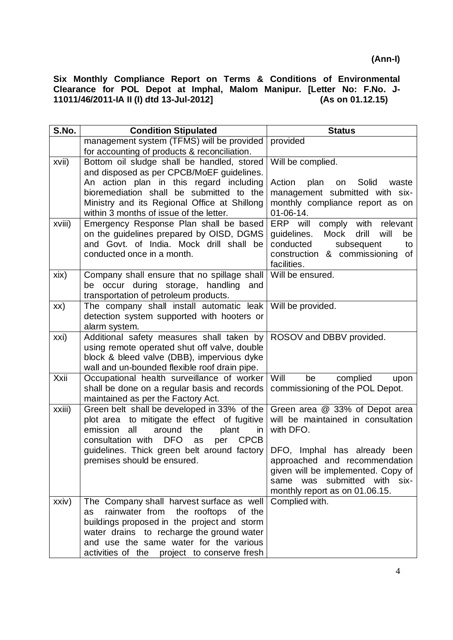| S.No.  | <b>Condition Stipulated</b>                                                                | <b>Status</b>                                                            |
|--------|--------------------------------------------------------------------------------------------|--------------------------------------------------------------------------|
|        | management system (TFMS) will be provided                                                  | provided                                                                 |
|        | for accounting of products & reconciliation.                                               |                                                                          |
| xvii)  | Bottom oil sludge shall be handled, stored                                                 | Will be complied.                                                        |
|        | and disposed as per CPCB/MoEF guidelines.                                                  |                                                                          |
|        | An action plan in this regard including                                                    | Action<br>plan<br>Solid<br>on<br>waste                                   |
|        | bioremediation shall be submitted to the                                                   | management submitted with six-                                           |
|        | Ministry and its Regional Office at Shillong                                               | monthly compliance report as on                                          |
| xviii) | within 3 months of issue of the letter.<br>Emergency Response Plan shall be based          | $01 - 06 - 14.$<br>ERP will<br>relevant                                  |
|        | on the guidelines prepared by OISD, DGMS                                                   | comply with<br>guidelines.<br>Mock<br>drill<br>will<br>be                |
|        | and Govt. of India. Mock drill shall be                                                    | conducted<br>subsequent<br>to                                            |
|        | conducted once in a month.                                                                 | construction & commissioning<br>of                                       |
|        |                                                                                            | facilities.                                                              |
| xix)   | Company shall ensure that no spillage shall                                                | Will be ensured.                                                         |
|        | be occur during storage, handling<br>and                                                   |                                                                          |
|        | transportation of petroleum products.                                                      |                                                                          |
| XX)    | The company shall install automatic leak                                                   | Will be provided.                                                        |
|        | detection system supported with hooters or                                                 |                                                                          |
|        | alarm system.                                                                              |                                                                          |
| xxi)   | Additional safety measures shall taken by                                                  | ROSOV and DBBV provided.                                                 |
|        | using remote operated shut off valve, double<br>block & bleed valve (DBB), impervious dyke |                                                                          |
|        | wall and un-bounded flexible roof drain pipe.                                              |                                                                          |
| Xxii   | Occupational health surveillance of worker                                                 | Will<br>complied<br>be<br>upon                                           |
|        | shall be done on a regular basis and records                                               | commissioning of the POL Depot.                                          |
|        | maintained as per the Factory Act.                                                         |                                                                          |
| xxiii) | Green belt shall be developed in 33% of the                                                | Green area @ 33% of Depot area                                           |
|        | plot area to mitigate the effect of fugitive                                               | will be maintained in consultation                                       |
|        | all<br>emission<br>around<br>the<br>plant<br>in                                            | with DFO.                                                                |
|        | consultation with<br><b>DFO</b><br><b>CPCB</b><br>per<br>as                                |                                                                          |
|        | guidelines. Thick green belt around factory                                                | DFO, Imphal has already been                                             |
|        | premises should be ensured.                                                                | approached and recommendation                                            |
|        |                                                                                            | given will be implemented. Copy of<br>submitted with six-<br>was<br>same |
|        |                                                                                            | monthly report as on 01.06.15.                                           |
| xxiv)  | The Company shall harvest surface as well                                                  | Complied with.                                                           |
|        | rainwater from<br>the rooftops<br>of the<br>as                                             |                                                                          |
|        | buildings proposed in the project and storm                                                |                                                                          |
|        | water drains to recharge the ground water                                                  |                                                                          |
|        | and use the same water for the various                                                     |                                                                          |
|        | activities of the project to conserve fresh                                                |                                                                          |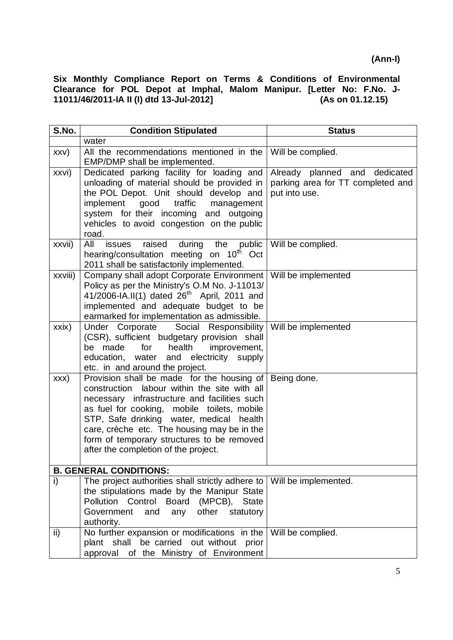| S.No.                         | <b>Condition Stipulated</b>                                                                                                                                                                                                                                                                                                                                                | <b>Status</b>                                                                       |  |
|-------------------------------|----------------------------------------------------------------------------------------------------------------------------------------------------------------------------------------------------------------------------------------------------------------------------------------------------------------------------------------------------------------------------|-------------------------------------------------------------------------------------|--|
|                               | water                                                                                                                                                                                                                                                                                                                                                                      |                                                                                     |  |
| XXV)                          | All the recommendations mentioned in the<br>EMP/DMP shall be implemented.                                                                                                                                                                                                                                                                                                  | Will be complied.                                                                   |  |
| xxvi)                         | Dedicated parking facility for loading and<br>unloading of material should be provided in<br>the POL Depot. Unit should develop and<br>implement<br>good<br>traffic<br>management<br>system for their incoming and outgoing<br>vehicles to avoid congestion on the public<br>road.                                                                                         | Already planned and dedicated<br>parking area for TT completed and<br>put into use. |  |
| xxvii)                        | All<br>during<br>public<br>raised<br>issues<br>the<br>hearing/consultation meeting on 10 <sup>th</sup> Oct<br>2011 shall be satisfactorily implemented.                                                                                                                                                                                                                    | Will be complied.                                                                   |  |
| xxviii)                       | Company shall adopt Corporate Environment<br>Policy as per the Ministry's O.M No. J-11013/<br>41/2006-IA.II(1) dated $26^{th}$ April, 2011 and<br>implemented and adequate budget to be<br>earmarked for implementation as admissible.                                                                                                                                     | Will be implemented                                                                 |  |
| xxix)                         | Under Corporate<br>Social Responsibility<br>(CSR), sufficient budgetary provision shall<br>be made<br>for<br>health<br>improvement,<br>education, water and electricity supply<br>etc. in and around the project.                                                                                                                                                          | Will be implemented                                                                 |  |
| XXX)                          | Provision shall be made for the housing of<br>construction labour within the site with all<br>necessary infrastructure and facilities such<br>as fuel for cooking, mobile toilets, mobile<br>STP, Safe drinking water, medical health<br>care, crèche etc. The housing may be in the<br>form of temporary structures to be removed<br>after the completion of the project. | Being done.                                                                         |  |
| <b>B. GENERAL CONDITIONS:</b> |                                                                                                                                                                                                                                                                                                                                                                            |                                                                                     |  |
| i)                            | The project authorities shall strictly adhere to   Will be implemented.<br>the stipulations made by the Manipur State<br>Pollution Control<br><b>Board</b><br>(MPCB), State<br>Government<br>other<br>and<br>statutory<br>any<br>authority.                                                                                                                                |                                                                                     |  |
| ii)                           | No further expansion or modifications in the<br>plant shall be carried out without prior<br>approval of the Ministry of Environment                                                                                                                                                                                                                                        | Will be complied.                                                                   |  |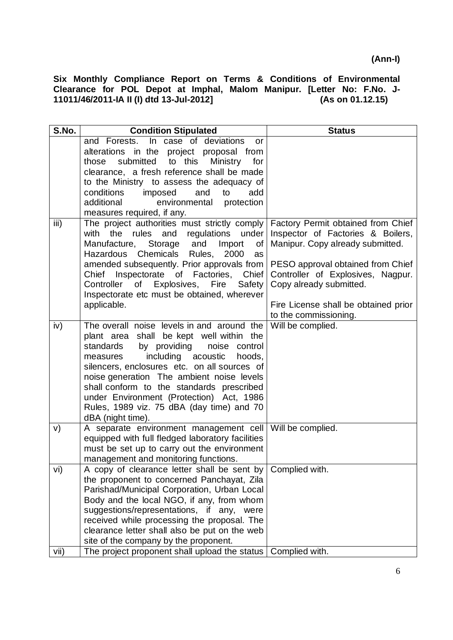| S.No. | <b>Condition Stipulated</b>                                                               | <b>Status</b>                        |
|-------|-------------------------------------------------------------------------------------------|--------------------------------------|
|       | and Forests. In case of deviations<br>or                                                  |                                      |
|       | alterations in the project proposal from                                                  |                                      |
|       | submitted<br>to this<br><b>Ministry</b><br>those<br>for                                   |                                      |
|       | clearance, a fresh reference shall be made                                                |                                      |
|       | to the Ministry to assess the adequacy of                                                 |                                      |
|       | conditions<br>imposed<br>add<br>and<br>to                                                 |                                      |
|       | additional<br>environmental<br>protection                                                 |                                      |
|       | measures required, if any.                                                                |                                      |
| iii)  | The project authorities must strictly comply                                              | Factory Permit obtained from Chief   |
|       | the<br>rules<br>and<br>regulations under<br>with                                          | Inspector of Factories & Boilers,    |
|       | Storage<br>and<br>Import<br>Manufacture,<br>οf                                            | Manipur. Copy already submitted.     |
|       | Hazardous Chemicals<br>Rules, 2000<br>as                                                  |                                      |
|       | amended subsequently. Prior approvals from                                                | PESO approval obtained from Chief    |
|       | Chief Inspectorate of Factories, Chief                                                    | Controller of Explosives, Nagpur.    |
|       | Controller of Explosives, Fire Safety                                                     | Copy already submitted.              |
|       | Inspectorate etc must be obtained, wherever                                               |                                      |
|       | applicable.                                                                               | Fire License shall be obtained prior |
|       |                                                                                           | to the commissioning.                |
| iv)   | The overall noise levels in and around the                                                | Will be complied.                    |
|       | plant area shall be kept well within the                                                  |                                      |
|       | by providing<br>standards<br>noise control                                                |                                      |
|       | including acoustic<br>hoods,<br>measures                                                  |                                      |
|       | silencers, enclosures etc. on all sources of<br>noise generation The ambient noise levels |                                      |
|       | shall conform to the standards prescribed                                                 |                                      |
|       | under Environment (Protection) Act, 1986                                                  |                                      |
|       | Rules, 1989 viz. 75 dBA (day time) and 70                                                 |                                      |
|       | dBA (night time).                                                                         |                                      |
| V)    | A separate environment management cell                                                    | Will be complied.                    |
|       | equipped with full fledged laboratory facilities                                          |                                      |
|       | must be set up to carry out the environment                                               |                                      |
|       | management and monitoring functions.                                                      |                                      |
| vi)   | A copy of clearance letter shall be sent by Complied with.                                |                                      |
|       | the proponent to concerned Panchayat, Zila                                                |                                      |
|       | Parishad/Municipal Corporation, Urban Local                                               |                                      |
|       | Body and the local NGO, if any, from whom                                                 |                                      |
|       | suggestions/representations, if any, were                                                 |                                      |
|       | received while processing the proposal. The                                               |                                      |
|       | clearance letter shall also be put on the web                                             |                                      |
|       | site of the company by the proponent.                                                     |                                      |
| vii)  | The project proponent shall upload the status   Complied with.                            |                                      |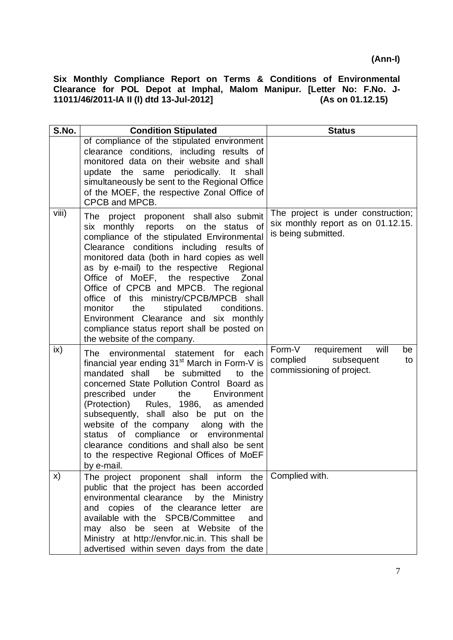| S.No. | <b>Condition Stipulated</b>                                                                                                                                                                                                                                                                                                                                                                                                                                                                                                                                                | <b>Status</b>                                                                                    |
|-------|----------------------------------------------------------------------------------------------------------------------------------------------------------------------------------------------------------------------------------------------------------------------------------------------------------------------------------------------------------------------------------------------------------------------------------------------------------------------------------------------------------------------------------------------------------------------------|--------------------------------------------------------------------------------------------------|
|       | of compliance of the stipulated environment<br>clearance conditions, including results of<br>monitored data on their website and shall<br>update the same periodically. It shall<br>simultaneously be sent to the Regional Office<br>of the MOEF, the respective Zonal Office of<br>CPCB and MPCB.                                                                                                                                                                                                                                                                         |                                                                                                  |
| viii) | The project proponent shall also submit<br>six monthly reports on the status of<br>compliance of the stipulated Environmental<br>Clearance conditions including results of<br>monitored data (both in hard copies as well<br>as by e-mail) to the respective Regional<br>Office of MoEF, the respective<br>Zonal<br>Office of CPCB and MPCB. The regional<br>office of this ministry/CPCB/MPCB shall<br>monitor<br>the<br>stipulated<br>conditions.<br>Environment Clearance and six monthly<br>compliance status report shall be posted on<br>the website of the company. | The project is under construction;<br>six monthly report as on 01.12.15.<br>is being submitted.  |
| ix)   | each<br>The environmental statement for<br>financial year ending 31 <sup>st</sup> March in Form-V is<br>mandated shall be submitted<br>to the<br>concerned State Pollution Control Board as<br>prescribed under<br>the<br>Environment<br>(Protection) Rules, 1986, as amended<br>subsequently, shall also be put on the<br>along with the<br>website of the company<br>compliance or<br>environmental<br>status<br>of<br>clearance conditions and shall also be sent<br>to the respective Regional Offices of MoEF<br>by e-mail.                                           | Form-V<br>requirement<br>will<br>be<br>complied<br>subsequent<br>to<br>commissioning of project. |
| X)    | The project proponent shall inform the<br>public that the project has been accorded<br>environmental clearance<br>by the Ministry<br>and copies of the clearance letter<br>are<br>available with the SPCB/Committee<br>and<br>may also be seen at Website of the<br>Ministry at http://envfor.nic.in. This shall be<br>advertised within seven days from the date                                                                                                                                                                                                          | Complied with.                                                                                   |